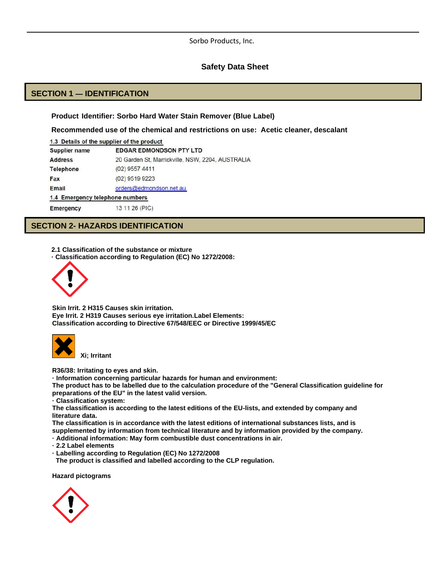### **Safety Data Sheet**

# **SECTION 1 — IDENTIFICATION**

#### **Product Identifier: Sorbo Hard Water Stain Remover (Blue Label)**

**Recommended use of the chemical and restrictions on use: Acetic cleaner, descalant**

| 1.3 Details of the supplier of the product |                                                  |  |
|--------------------------------------------|--------------------------------------------------|--|
| Supplier name                              | <b>EDGAR EDMONDSON PTY LTD</b>                   |  |
| <b>Address</b>                             | 20 Garden St, Marrickville, NSW, 2204, AUSTRALIA |  |
| <b>Telephone</b>                           | (02) 9557 4411                                   |  |
| Fax                                        | (02) 9519 9223                                   |  |
| Email                                      | orders@edmondson.net.au                          |  |
| 1.4 Emergency telephone numbers            |                                                  |  |
| <b>Emergency</b>                           | 13 11 26 (PIC)                                   |  |

# **SECTION 2- HAZARDS IDENTIFICATION**

**2.1 Classification of the substance or mixture**

**· Classification according to Regulation (EC) No 1272/2008:**



**Skin Irrit. 2 H315 Causes skin irritation. Eye Irrit. 2 H319 Causes serious eye irritation.Label Elements: Classification according to Directive 67/548/EEC or Directive 1999/45/EC**



 **Xi; Irritant**

**R36/38: Irritating to eyes and skin.**

**· Information concerning particular hazards for human and environment:**

**The product has to be labelled due to the calculation procedure of the "General Classification guideline for preparations of the EU" in the latest valid version.**

**· Classification system:**

**The classification is according to the latest editions of the EU-lists, and extended by company and literature data.**

**The classification is in accordance with the latest editions of international substances lists, and is supplemented by information from technical literature and by information provided by the company.**

**· Additional information: May form combustible dust concentrations in air.**

**· 2.2 Label elements**

**· Labelling according to Regulation (EC) No 1272/2008**

 **The product is classified and labelled according to the CLP regulation.**

**Hazard pictograms**

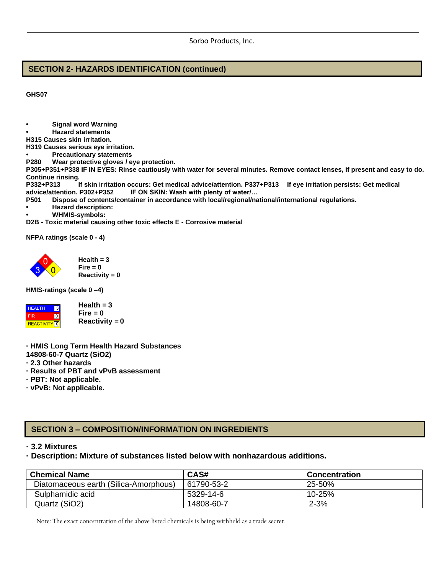# **SECTION 2- HAZARDS IDENTIFICATION (continued)**

**GHS07**

- **• Signal word Warning**
- **• Hazard statements**
- **H315 Causes skin irritation.**
- **H319 Causes serious eye irritation.**
- **• Precautionary statements**
- **P280 Wear protective gloves / eye protection.**

**P305+P351+P338 IF IN EYES: Rinse cautiously with water for several minutes. Remove contact lenses, if present and easy to do. Continue rinsing.**

**P332+P313 If skin irritation occurs: Get medical advice/attention. P337+P313 If eye irritation persists: Get medical advice/attention. P302+P352 IF ON SKIN: Wash with plenty of water/…**

- **P501 Dispose of contents/container in accordance with local/regional/national/international regulations.**
- **• Hazard description:**
- **• WHMIS-symbols:**

**D2B - Toxic material causing other toxic effects E - Corrosive material**

**NFPA ratings (scale 0 - 4)**



**Health = 3 Fire = 0 Reactivity = 0**

**HMIS-ratings (scale 0 –4)**



**Health = 3 Fire = 0 Reactivity = 0**

- **· HMIS Long Term Health Hazard Substances**
- **14808-60-7 Quartz (SiO2)**
- **· 2.3 Other hazards**
- **· Results of PBT and vPvB assessment**
- **· PBT: Not applicable.**
- **· vPvB: Not applicable.**

# **SECTION 3 – COMPOSITION/INFORMATION ON INGREDIENTS**

**· 3.2 Mixtures**

**· Description: Mixture of substances listed below with nonhazardous additions.**

| <b>Chemical Name</b>                  | CAS#       | <b>Concentration</b> |
|---------------------------------------|------------|----------------------|
| Diatomaceous earth (Silica-Amorphous) | 61790-53-2 | 25-50%               |
| Sulphamidic acid                      | 5329-14-6  | 10-25%               |
| Quartz (SiO2)                         | 14808-60-7 | $2 - 3%$             |

Note: The exact concentration of the above listed chemicals is being withheld as a trade secret.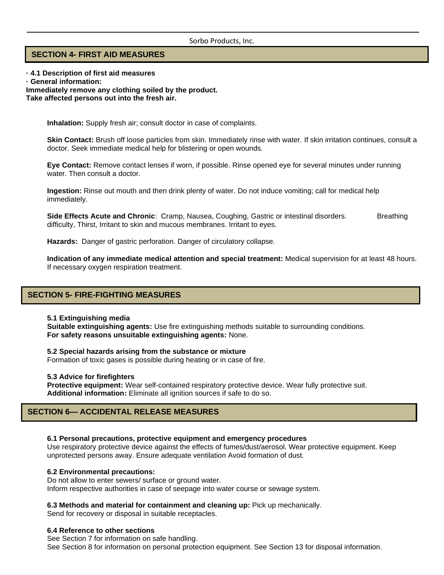### **SECTION 4- FIRST AID MEASURES**

**· 4.1 Description of first aid measures · General information: Immediately remove any clothing soiled by the product.**

**Take affected persons out into the fresh air.**

**Inhalation:** Supply fresh air; consult doctor in case of complaints.

**Skin Contact:** Brush off loose particles from skin. Immediately rinse with water. If skin irritation continues, consult a doctor. Seek immediate medical help for blistering or open wounds.

**Eye Contact:** Remove contact lenses if worn, if possible. Rinse opened eye for several minutes under running water. Then consult a doctor.

**Ingestion:** Rinse out mouth and then drink plenty of water. Do not induce vomiting; call for medical help immediately.

**Side Effects Acute and Chronic**: Cramp, Nausea, Coughing, Gastric or intestinal disorders. Breathing difficulty, Thirst, Irritant to skin and mucous membranes. Irritant to eyes.

**Hazards:** Danger of gastric perforation. Danger of circulatory collapse.

**Indication of any immediate medical attention and special treatment:** Medical supervision for at least 48 hours. If necessary oxygen respiration treatment.

### **SECTION 5- FIRE-FIGHTING MEASURES**

#### **5.1 Extinguishing media**

**Suitable extinguishing agents:** Use fire extinguishing methods suitable to surrounding conditions. **For safety reasons unsuitable extinguishing agents:** None.

**5.2 Special hazards arising from the substance or mixture**

Formation of toxic gases is possible during heating or in case of fire.

#### **5.3 Advice for firefighters**

**Protective equipment:** Wear self-contained respiratory protective device. Wear fully protective suit. **Additional information:** Eliminate all ignition sources if safe to do so.

### **SECTION 6— ACCIDENTAL RELEASE MEASURES**

#### **6.1 Personal precautions, protective equipment and emergency procedures**

Use respiratory protective device against the effects of fumes/dust/aerosol. Wear protective equipment. Keep unprotected persons away. Ensure adequate ventilation Avoid formation of dust.

#### **6.2 Environmental precautions:**

Do not allow to enter sewers/ surface or ground water. Inform respective authorities in case of seepage into water course or sewage system.

**6.3 Methods and material for containment and cleaning up:** Pick up mechanically.

Send for recovery or disposal in suitable receptacles.

#### **6.4 Reference to other sections**

See Section 7 for information on safe handling. See Section 8 for information on personal protection equipment. See Section 13 for disposal information.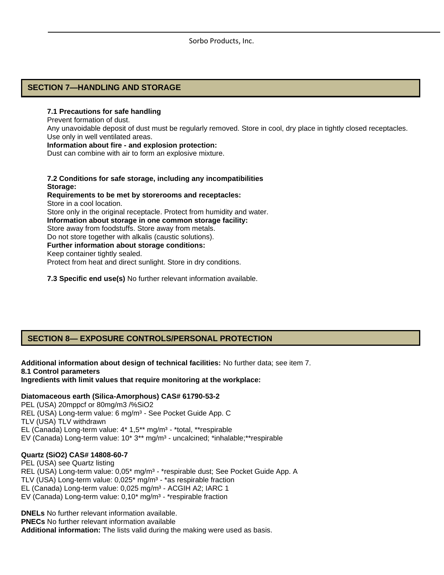## **SECTION 7—HANDLING AND STORAGE**

#### **7.1 Precautions for safe handling**

Prevent formation of dust.

Any unavoidable deposit of dust must be regularly removed. Store in cool, dry place in tightly closed receptacles. Use only in well ventilated areas.

**Information about fire - and explosion protection:** Dust can combine with air to form an explosive mixture.

**7.2 Conditions for safe storage, including any incompatibilities Storage: Requirements to be met by storerooms and receptacles:** Store in a cool location. Store only in the original receptacle. Protect from humidity and water. **Information about storage in one common storage facility:** Store away from foodstuffs. Store away from metals. Do not store together with alkalis (caustic solutions). **Further information about storage conditions:** Keep container tightly sealed. Protect from heat and direct sunlight. Store in dry conditions.

**7.3 Specific end use(s)** No further relevant information available.

# **SECTION 8— EXPOSURE CONTROLS/PERSONAL PROTECTION**

**Additional information about design of technical facilities:** No further data; see item 7. **8.1 Control parameters Ingredients with limit values that require monitoring at the workplace:**

#### **Diatomaceous earth (Silica-Amorphous) CAS# 61790-53-2**

PEL (USA) 20mppcf or 80mg/m3 /%SiO2 REL (USA) Long-term value: 6 mg/m<sup>3</sup> - See Pocket Guide App. C TLV (USA) TLV withdrawn EL (Canada) Long-term value: 4\* 1,5\*\* mg/m<sup>3</sup> - \*total, \*\*respirable EV (Canada) Long-term value: 10\* 3\*\* mg/m<sup>3</sup> - uncalcined; \*inhalable;\*\*respirable

## **Quartz (SiO2) CAS# 14808-60-7**

PEL (USA) see Quartz listing REL (USA) Long-term value: 0,05\* mg/m<sup>3</sup> - \*respirable dust; See Pocket Guide App. A TLV (USA) Long-term value: 0,025<sup>\*</sup> mg/m<sup>3</sup> - \*as respirable fraction EL (Canada) Long-term value: 0,025 mg/m<sup>3</sup> - ACGIH A2; IARC 1 EV (Canada) Long-term value:  $0.10^*$  mg/m<sup>3</sup> - \*respirable fraction

**DNELs** No further relevant information available. **PNECs** No further relevant information available **Additional information:** The lists valid during the making were used as basis.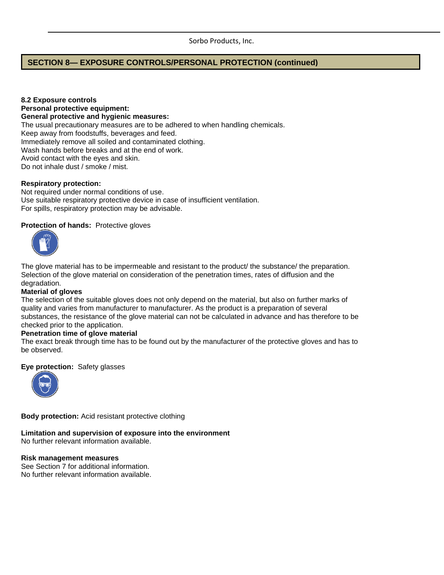# **SECTION 8— EXPOSURE CONTROLS/PERSONAL PROTECTION (continued)**

**8.2 Exposure controls Personal protective equipment: General protective and hygienic measures:** The usual precautionary measures are to be adhered to when handling chemicals. Keep away from foodstuffs, beverages and feed. Immediately remove all soiled and contaminated clothing. Wash hands before breaks and at the end of work. Avoid contact with the eyes and skin. Do not inhale dust / smoke / mist.

### **Respiratory protection:**

Not required under normal conditions of use. Use suitable respiratory protective device in case of insufficient ventilation. For spills, respiratory protection may be advisable.

#### **Protection of hands:** Protective gloves



The glove material has to be impermeable and resistant to the product/ the substance/ the preparation. Selection of the glove material on consideration of the penetration times, rates of diffusion and the degradation.

#### **Material of gloves**

The selection of the suitable gloves does not only depend on the material, but also on further marks of quality and varies from manufacturer to manufacturer. As the product is a preparation of several substances, the resistance of the glove material can not be calculated in advance and has therefore to be checked prior to the application.

#### **Penetration time of glove material**

The exact break through time has to be found out by the manufacturer of the protective gloves and has to be observed.

#### **Eye protection:** Safety glasses



**Body protection:** Acid resistant protective clothing

# **Limitation and supervision of exposure into the environment**

No further relevant information available.

### **Risk management measures**

See Section 7 for additional information. No further relevant information available.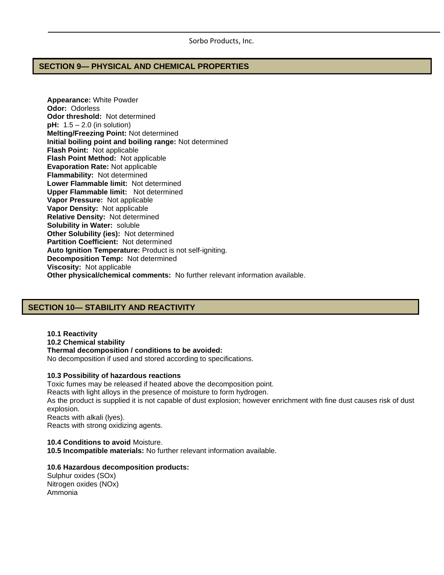### **SECTION 9— PHYSICAL AND CHEMICAL PROPERTIES**

**Appearance:** White Powder **Odor:** Odorless **Odor threshold:** Not determined **pH:**  $1.5 - 2.0$  (in solution) **Melting/Freezing Point:** Not determined **Initial boiling point and boiling range:** Not determined **Flash Point:** Not applicable **Flash Point Method:** Not applicable **Evaporation Rate:** Not applicable **Flammability:** Not determined **Lower Flammable limit:** Not determined **Upper Flammable limit:** Not determined **Vapor Pressure:** Not applicable **Vapor Density:** Not applicable **Relative Density:** Not determined **Solubility in Water:** soluble **Other Solubility (ies):** Not determined **Partition Coefficient:** Not determined **Auto Ignition Temperature:** Product is not self-igniting. **Decomposition Temp:** Not determined **Viscosity:** Not applicable **Other physical/chemical comments:** No further relevant information available.

# **SECTION 10— STABILITY AND REACTIVITY**

**10.1 Reactivity 10.2 Chemical stability Thermal decomposition / conditions to be avoided:** No decomposition if used and stored according to specifications.

#### **10.3 Possibility of hazardous reactions**

Toxic fumes may be released if heated above the decomposition point. Reacts with light alloys in the presence of moisture to form hydrogen. As the product is supplied it is not capable of dust explosion; however enrichment with fine dust causes risk of dust explosion. Reacts with alkali (lyes). Reacts with strong oxidizing agents.

**10.4 Conditions to avoid** Moisture. **10.5 Incompatible materials:** No further relevant information available.

### **10.6 Hazardous decomposition products:**

Sulphur oxides (SOx) Nitrogen oxides (NOx) Ammonia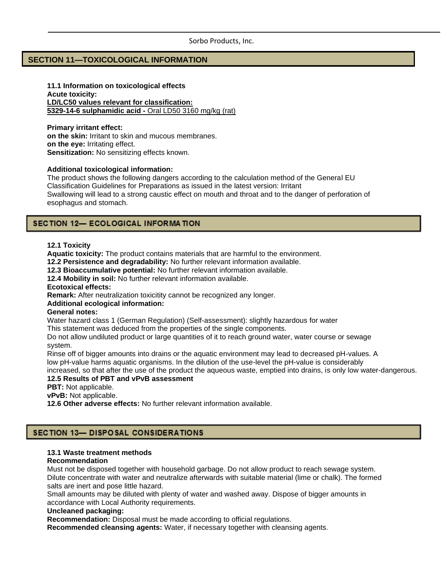### **SECTION 11—TOXICOLOGICAL INFORMATION**

**11.1 Information on toxicological effects Acute toxicity: LD/LC50 values relevant for classification: 5329-14-6 sulphamidic acid -** Oral LD50 3160 mg/kg (rat)

**Primary irritant effect: on the skin:** Irritant to skin and mucous membranes. **on the eye:** Irritating effect. **Sensitization:** No sensitizing effects known.

#### **Additional toxicological information:**

The product shows the following dangers according to the calculation method of the General EU Classification Guidelines for Preparations as issued in the latest version: Irritant Swallowing will lead to a strong caustic effect on mouth and throat and to the danger of perforation of esophagus and stomach.

## SECTION 12- ECOLOGICAL INFORMATION

#### **12.1 Toxicity**

**Aquatic toxicity:** The product contains materials that are harmful to the environment.

**12.2 Persistence and degradability:** No further relevant information available.

**12.3 Bioaccumulative potential:** No further relevant information available.

**12.4 Mobility in soil:** No further relevant information available.

**Ecotoxical effects:**

**Remark:** After neutralization toxicitity cannot be recognized any longer.

#### **Additional ecological information:**

#### **General notes:**

Water hazard class 1 (German Regulation) (Self-assessment): slightly hazardous for water

This statement was deduced from the properties of the single components.

Do not allow undiluted product or large quantities of it to reach ground water, water course or sewage system.

Rinse off of bigger amounts into drains or the aquatic environment may lead to decreased pH-values. A low pH-value harms aquatic organisms. In the dilution of the use-level the pH-value is considerably

increased, so that after the use of the product the aqueous waste, emptied into drains, is only low water-dangerous. **12.5 Results of PBT and vPvB assessment**

**PBT:** Not applicable.

**vPvB:** Not applicable.

**12.6 Other adverse effects:** No further relevant information available.

# **SECTION 13- DISPOSAL CONSIDERATIONS**

### **13.1 Waste treatment methods**

#### **Recommendation**

Must not be disposed together with household garbage. Do not allow product to reach sewage system. Dilute concentrate with water and neutralize afterwards with suitable material (lime or chalk). The formed salts are inert and pose little hazard.

Small amounts may be diluted with plenty of water and washed away. Dispose of bigger amounts in accordance with Local Authority requirements.

### **Uncleaned packaging:**

**Recommendation:** Disposal must be made according to official regulations.

**Recommended cleansing agents:** Water, if necessary together with cleansing agents.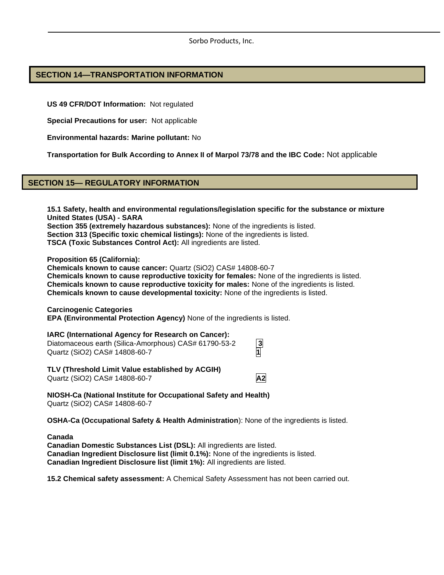# **SECTION 14—TRANSPORTATION INFORMATION**

**US 49 CFR/DOT Information:** Not regulated

**Special Precautions for user:** Not applicable

**Environmental hazards: Marine pollutant:** No

**Transportation for Bulk According to Annex II of Marpol 73/78 and the IBC Code:** Not applicable

# **SECTION 15— REGULATORY INFORMATION**

**15.1 Safety, health and environmental regulations/legislation specific for the substance or mixture United States (USA) - SARA Section 355 (extremely hazardous substances):** None of the ingredients is listed. **Section 313 (Specific toxic chemical listings):** None of the ingredients is listed. **TSCA (Toxic Substances Control Act):** All ingredients are listed.

**Proposition 65 (California):**

**Chemicals known to cause cancer:** Quartz (SiO2) CAS# 14808-60-7 **Chemicals known to cause reproductive toxicity for females:** None of the ingredients is listed. **Chemicals known to cause reproductive toxicity for males:** None of the ingredients is listed. **Chemicals known to cause developmental toxicity:** None of the ingredients is listed.

**Carcinogenic Categories**

**EPA (Environmental Protection Agency)** None of the ingredients is listed.

### **IARC (International Agency for Research on Cancer):**

Diatomaceous earth (Silica-Amorphous) CAS# 61790-53-2 **3** Quartz (SiO2) CAS# 14808-60-7 **1**

**TLV (Threshold Limit Value established by ACGIH)** Quartz (SiO2) CAS# 14808-60-7 **A2**

**NIOSH-Ca (National Institute for Occupational Safety and Health)** Quartz (SiO2) CAS# 14808-60-7

**OSHA-Ca (Occupational Safety & Health Administration**): None of the ingredients is listed.

**Canada**

**Canadian Domestic Substances List (DSL):** All ingredients are listed. **Canadian Ingredient Disclosure list (limit 0.1%):** None of the ingredients is listed. **Canadian Ingredient Disclosure list (limit 1%):** All ingredients are listed.

**15.2 Chemical safety assessment:** A Chemical Safety Assessment has not been carried out.